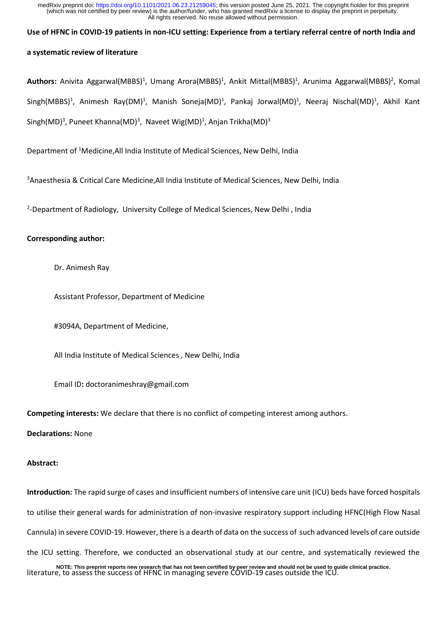## **Use of HFNC in COVID-19 patients in non-ICU setting: Experience from a tertiary referral centre of north India and**

# **a systematic review of literature**

Authors: Anivita Aggarwal(MBBS)<sup>1</sup>, Umang Arora(MBBS)<sup>1</sup>, Ankit Mittal(MBBS)<sup>1</sup>, Arunima Aggarwal(MBBS)<sup>2</sup>, Komal Singh(MBBS)<sup>1</sup>, Animesh Ray(DM)<sup>1</sup>, Manish Soneja(MD)<sup>1</sup>, Pankaj Jorwal(MD)<sup>1</sup>, Neeraj Nischal(MD)<sup>1</sup>, Akhil Kant Singh(MD)<sup>3</sup>, Puneet Khanna(MD)<sup>3</sup>, Naveet Wig(MD)<sup>1</sup>, Anjan Trikha(MD)<sup>3</sup>

Department of <sup>1</sup>Medicine,All India Institute of Medical Sciences, New Delhi, India

<sup>3</sup> Anaesthesia & Critical Care Medicine, All India Institute of Medical Sciences, New Delhi, India

<sup>2</sup>-Department of Radiology, University College of Medical Sciences, New Delhi, India

## **Corresponding author:**

Dr. Animesh Ray

Assistant Professor, Department of Medicine

#3094A, Department of Medicine,

All India Institute of Medical Sciences , New Delhi, India

Email ID**:** doctoranimeshray@gmail.com

**Competing interests:** We declare that there is no conflict of competing interest among authors.

**Declarations:** None

## **Abstract:**

**Introduction:** The rapid surge of cases and insufficient numbers of intensive care unit (ICU) beds have forced hospitals to utilise their general wards for administration of non-invasive respiratory support including HFNC(High Flow Nasal Cannula) in severe COVID-19. However, there is a dearth of data on the success of such advanced levels of care outside the ICU setting. Therefore, we conducted an observational study at our centre, and systematically reviewed the NOTE: This preprint reports new research that has not been certified by peer review and should not be used to guide clinical practice.<br>Iiterature, to assess the success of HFNC in managing severe COVID-19 cases outside the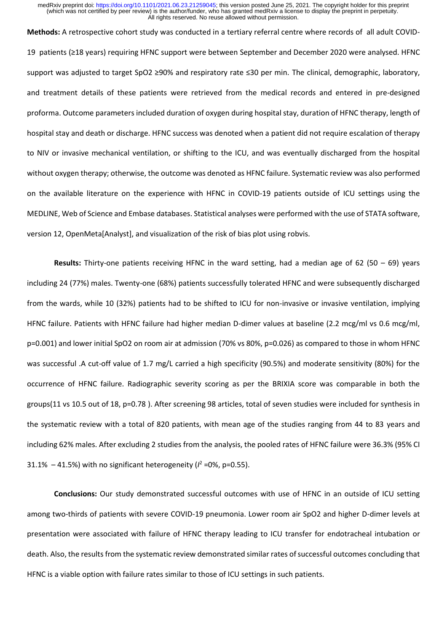**Methods:** A retrospective cohort study was conducted in a tertiary referral centre where records of all adult COVID-19 patients (≥18 years) requiring HFNC support were between September and December 2020 were analysed. HFNC support was adjusted to target SpO2 ≥90% and respiratory rate ≤30 per min. The clinical, demographic, laboratory, and treatment details of these patients were retrieved from the medical records and entered in pre-designed proforma. Outcome parameters included duration of oxygen during hospital stay, duration of HFNC therapy, length of hospital stay and death or discharge. HFNC success was denoted when a patient did not require escalation of therapy to NIV or invasive mechanical ventilation, or shifting to the ICU, and was eventually discharged from the hospital without oxygen therapy; otherwise, the outcome was denoted as HFNC failure. Systematic review was also performed on the available literature on the experience with HFNC in COVID-19 patients outside of ICU settings using the MEDLINE, Web of Science and Embase databases. Statistical analyses were performed with the use of STATA software, version 12, OpenMeta[Analyst], and visualization of the risk of bias plot using robvis.

**Results:** Thirty-one patients receiving HFNC in the ward setting, had a median age of 62 (50 – 69) years including 24 (77%) males. Twenty-one (68%) patients successfully tolerated HFNC and were subsequently discharged from the wards, while 10 (32%) patients had to be shifted to ICU for non-invasive or invasive ventilation, implying HFNC failure. Patients with HFNC failure had higher median D-dimer values at baseline (2.2 mcg/ml vs 0.6 mcg/ml, p=0.001) and lower initial SpO2 on room air at admission (70% vs 80%, p=0.026) as compared to those in whom HFNC was successful .A cut-off value of 1.7 mg/L carried a high specificity (90.5%) and moderate sensitivity (80%) for the occurrence of HFNC failure. Radiographic severity scoring as per the BRIXIA score was comparable in both the groups(11 vs 10.5 out of 18, p=0.78 ). After screening 98 articles, total of seven studies were included for synthesis in the systematic review with a total of 820 patients, with mean age of the studies ranging from 44 to 83 years and including 62% males. After excluding 2 studies from the analysis, the pooled rates of HFNC failure were 36.3% (95% CI 31.1%  $-41.5%$ ) with no significant heterogeneity ( $l^2$  =0%, p=0.55).

**Conclusions:** Our study demonstrated successful outcomes with use of HFNC in an outside of ICU setting among two-thirds of patients with severe COVID-19 pneumonia. Lower room air SpO2 and higher D-dimer levels at presentation were associated with failure of HFNC therapy leading to ICU transfer for endotracheal intubation or death. Also, the results from the systematic review demonstrated similar rates of successful outcomes concluding that HFNC is a viable option with failure rates similar to those of ICU settings in such patients.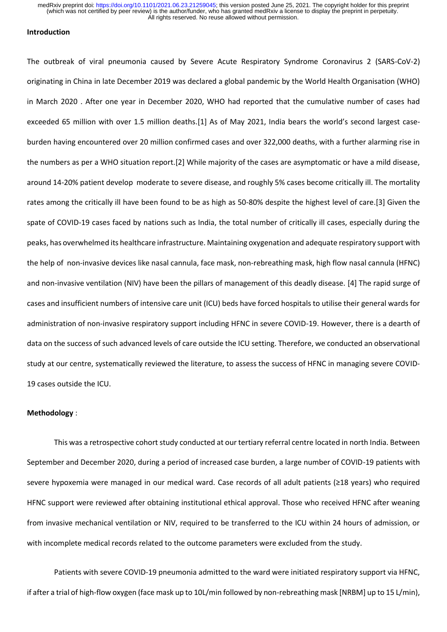# **Introduction**

The outbreak of viral pneumonia caused by Severe Acute Respiratory Syndrome Coronavirus 2 (SARS-CoV-2) originating in China in late December 2019 was declared a global pandemic by the World Health Organisation (WHO) in March 2020 . After one year in December 2020, WHO had reported that the cumulative number of cases had exceeded 65 million with over 1.5 million deaths.[1] As of May 2021, India bears the world's second largest caseburden having encountered over 20 million confirmed cases and over 322,000 deaths, with a further alarming rise in the numbers as per a WHO situation report.[2] While majority of the cases are asymptomatic or have a mild disease, around 14-20% patient develop moderate to severe disease, and roughly 5% cases become critically ill. The mortality rates among the critically ill have been found to be as high as 50-80% despite the highest level of care.[3] Given the spate of COVID-19 cases faced by nations such as India, the total number of critically ill cases, especially during the peaks, has overwhelmed its healthcare infrastructure. Maintaining oxygenation and adequate respiratory support with the help of non-invasive devices like nasal cannula, face mask, non-rebreathing mask, high flow nasal cannula (HFNC) and non-invasive ventilation (NIV) have been the pillars of management of this deadly disease[.](https://www.zotero.org/google-docs/?broken=R4F7nF) [4] The rapid surge of cases and insufficient numbers of intensive care unit (ICU) beds have forced hospitals to utilise their general wards for administration of non-invasive respiratory support including HFNC in severe COVID-19. However, there is a dearth of data on the success of such advanced levels of care outside the ICU setting. Therefore, we conducted an observational study at our centre, systematically reviewed the literature, to assess the success of HFNC in managing severe COVID-19 cases outside the ICU.

#### **Methodology** :

This was a retrospective cohort study conducted at our tertiary referral centre located in north India. Between September and December 2020, during a period of increased case burden, a large number of COVID-19 patients with severe hypoxemia were managed in our medical ward. Case records of all adult patients (≥18 years) who required HFNC support were reviewed after obtaining institutional ethical approval. Those who received HFNC after weaning from invasive mechanical ventilation or NIV, required to be transferred to the ICU within 24 hours of admission, or with incomplete medical records related to the outcome parameters were excluded from the study.

Patients with severe COVID-19 pneumonia admitted to the ward were initiated respiratory support via HFNC, if after a trial of high-flow oxygen (face mask up to 10L/min followed by non-rebreathing mask [NRBM] up to 15 L/min),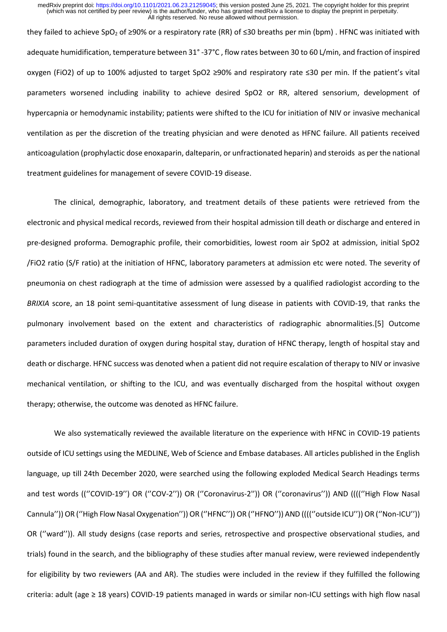they failed to achieve SpO<sup>2</sup> of ≥90% or a respiratory rate (RR) of ≤30 breaths per min (bpm) . HFNC was initiated with adequate humidification, temperature between 31° -37°C , flow rates between 30 to 60 L/min, and fraction of inspired oxygen (FiO2) of up to 100% adjusted to target SpO2 ≥90% and respiratory rate ≤30 per min. If the patient's vital parameters worsened including inability to achieve desired SpO2 or RR, altered sensorium, development of hypercapnia or hemodynamic instability; patients were shifted to the ICU for initiation of NIV or invasive mechanical ventilation as per the discretion of the treating physician and were denoted as HFNC failure. All patients received anticoagulation (prophylactic dose enoxaparin, dalteparin, or unfractionated heparin) and steroids as per the national treatment guidelines for management of severe COVID-19 disease.

The clinical, demographic, laboratory, and treatment details of these patients were retrieved from the electronic and physical medical records, reviewed from their hospital admission till death or discharge and entered in pre-designed proforma. Demographic profile, their comorbidities, lowest room air SpO2 at admission, initial SpO2 /FiO2 ratio (S/F ratio) at the initiation of HFNC, laboratory parameters at admission etc were noted. The severity of pneumonia on chest radiograph at the time of admission were assessed by a qualified radiologist according to the *BRIXIA* score, an 18 point semi-quantitative assessment of lung disease in patients with COVID-19, that ranks the pulmonary involvement based on the extent and characteristics of radiographic abnormalities.[5] Outcome parameters included duration of oxygen during hospital stay, duration of HFNC therapy, length of hospital stay and death or discharge. HFNC success was denoted when a patient did not require escalation of therapy to NIV or invasive mechanical ventilation, or shifting to the ICU, and was eventually discharged from the hospital without oxygen therapy; otherwise, the outcome was denoted as HFNC failure.

We also systematically reviewed the available literature on the experience with HFNC in COVID-19 patients outside of ICU settings using the MEDLINE, Web of Science and Embase databases. All articles published in the English language, up till 24th December 2020, were searched using the following exploded Medical Search Headings terms and test words (("COVID-19") OR ("COV-2")) OR ("Coronavirus-2")) OR ("coronavirus")) AND (((("High Flow Nasal Cannula'')) OR (''High Flow Nasal Oxygenation'')) OR (''HFNC'')) OR (''HFNO'')) AND ((((''outside ICU'')) OR (''Non-ICU'')) OR (''ward'')). All study designs (case reports and series, retrospective and prospective observational studies, and trials) found in the search, and the bibliography of these studies after manual review, were reviewed independently for eligibility by two reviewers (AA and AR). The studies were included in the review if they fulfilled the following criteria: adult (age ≥ 18 years) COVID-19 patients managed in wards or similar non-ICU settings with high flow nasal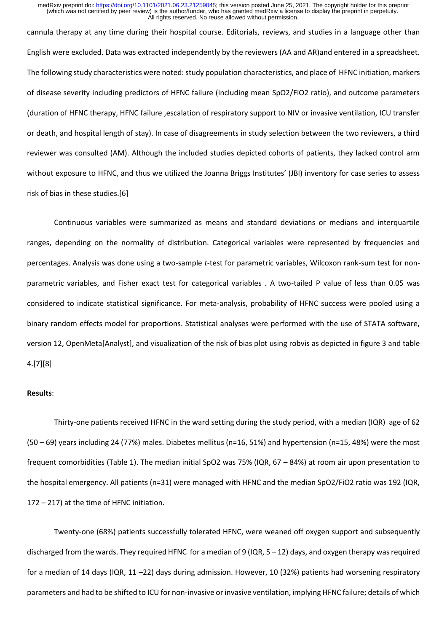cannula therapy at any time during their hospital course. Editorials, reviews, and studies in a language other than English were excluded. Data was extracted independently by the reviewers (AA and AR)and entered in a spreadsheet. The following study characteristics were noted: study population characteristics, and place of HFNC initiation, markers of disease severity including predictors of HFNC failure (including mean SpO2/FiO2 ratio), and outcome parameters (duration of HFNC therapy, HFNC failure ,escalation of respiratory support to NIV or invasive ventilation, ICU transfer or death, and hospital length of stay). In case of disagreements in study selection between the two reviewers, a third reviewer was consulted (AM). Although the included studies depicted cohorts of patients, they lacked control arm without exposure to HFNC, and thus we utilized the Joanna Briggs Institutes' (JBI) inventory for case series to assess risk of bias in these studies.[6]

Continuous variables were summarized as means and standard deviations or medians and interquartile ranges, depending on the normality of distribution. Categorical variables were represented by frequencies and percentages. Analysis was done using a two-sample *t*-test for parametric variables, Wilcoxon rank-sum test for nonparametric variables, and Fisher exact test for categorical variables . A two-tailed P value of less than 0.05 was considered to indicate statistical significance. For meta-analysis, probability of HFNC success were pooled using a binary random effects model for proportions. Statistical analyses were performed with the use of STATA software, version 12, OpenMeta[Analyst], and visualization of the risk of bias plot using robvis as depicted in figure 3 and table 4.[7][8]

#### **Results**:

Thirty-one patients received HFNC in the ward setting during the study period, with a median (IQR) age of 62 (50 – 69) years including 24 (77%) males. Diabetes mellitus (n=16, 51%) and hypertension (n=15, 48%) were the most frequent comorbidities (Table 1). The median initial SpO2 was 75% (IQR, 67 – 84%) at room air upon presentation to the hospital emergency. All patients (n=31) were managed with HFNC and the median SpO2/FiO2 ratio was 192 (IQR, 172 – 217) at the time of HFNC initiation.

Twenty-one (68%) patients successfully tolerated HFNC, were weaned off oxygen support and subsequently discharged from the wards. They required HFNC for a median of 9 (IQR, 5 – 12) days, and oxygen therapy was required for a median of 14 days (IQR, 11 –22) days during admission. However, 10 (32%) patients had worsening respiratory parameters and had to be shifted to ICU for non-invasive or invasive ventilation, implying HFNC failure; details of which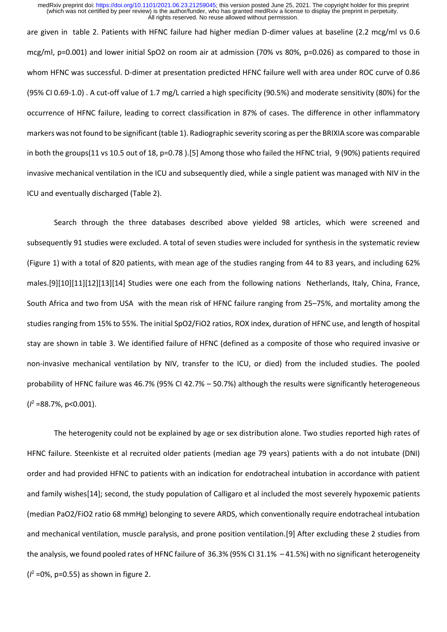are given in table 2. Patients with HFNC failure had higher median D-dimer values at baseline (2.2 mcg/ml vs 0.6 mcg/ml, p=0.001) and lower initial SpO2 on room air at admission (70% vs 80%, p=0.026) as compared to those in whom HFNC was successful. D-dimer at presentation predicted HFNC failure well with area under ROC curve of 0.86 (95% CI 0.69-1.0) . A cut-off value of 1.7 mg/L carried a high specificity (90.5%) and moderate sensitivity (80%) for the occurrence of HFNC failure, leading to correct classification in 87% of cases. The difference in other inflammatory markers was not found to be significant (table 1). Radiographic severity scoring as per the BRIXIA score was comparable in both the groups(11 vs 10.5 out of 18, p=0.78 ).[5] Among those who failed the HFNC trial, 9 (90%) patients required invasive mechanical ventilation in the ICU and subsequently died, while a single patient was managed with NIV in the ICU and eventually discharged (Table 2).

Search through the three databases described above yielded 98 articles, which were screened and subsequently 91 studies were excluded. A total of seven studies were included for synthesis in the systematic review (Figure 1) with a total of 820 patients, with mean age of the studies ranging from 44 to 83 years, and including 62% males.[9][10][11][12][13][14] Studies were one each from the following nations Netherlands, Italy, China, France, South Africa and two from USA with the mean risk of HFNC failure ranging from 25–75%, and mortality among the studies ranging from 15% to 55%. The initial SpO2/FiO2 ratios, ROX index, duration of HFNC use, and length of hospital stay are shown in table 3. We identified failure of HFNC (defined as a composite of those who required invasive or non-invasive mechanical ventilation by NIV, transfer to the ICU, or died) from the included studies. The pooled probability of HFNC failure was 46.7% (95% CI 42.7% – 50.7%) although the results were significantly heterogeneous (*I* <sup>2</sup> =88.7%, p<0.001).

The heterogenity could not be explained by age or sex distribution alone. Two studies reported high rates of HFNC failure. Steenkiste et al recruited older patients (median age 79 years) patients with a do not intubate (DNI) order and had provided HFNC to patients with an indication for endotracheal intubation in accordance with patient and family wishes[14]; second, the study population of Calligaro et al included the most severely hypoxemic patients (median PaO2/FiO2 ratio 68 mmHg) belonging to severe ARDS, which conventionally require endotracheal intubation and mechanical ventilation, muscle paralysis, and prone position ventilation.[9] After excluding these 2 studies from the analysis, we found pooled rates of HFNC failure of 36.3% (95% CI 31.1% – 41.5%) with no significant heterogeneity  $(l^2 = 0\%$ , p=0.55) as shown in figure 2.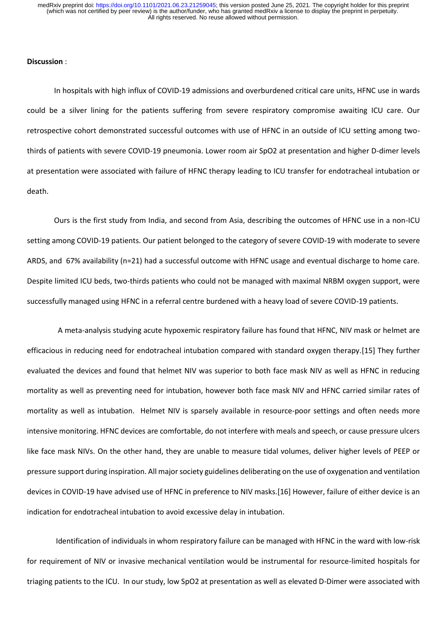## **Discussion** :

In hospitals with high influx of COVID-19 admissions and overburdened critical care units, HFNC use in wards could be a silver lining for the patients suffering from severe respiratory compromise awaiting ICU care. Our retrospective cohort demonstrated successful outcomes with use of HFNC in an outside of ICU setting among twothirds of patients with severe COVID-19 pneumonia. Lower room air SpO2 at presentation and higher D-dimer levels at presentation were associated with failure of HFNC therapy leading to ICU transfer for endotracheal intubation or death.

Ours is the first study from India, and second from Asia, describing the outcomes of HFNC use in a non-ICU setting among COVID-19 patients. Our patient belonged to the category of severe COVID-19 with moderate to severe ARDS, and 67% availability (n=21) had a successful outcome with HFNC usage and eventual discharge to home care. Despite limited ICU beds, two-thirds patients who could not be managed with maximal NRBM oxygen support, were successfully managed using HFNC in a referral centre burdened with a heavy load of severe COVID-19 patients.

 A meta-analysis studying acute hypoxemic respiratory failure has found that HFNC, NIV mask or helmet are efficacious in reducing need for endotracheal intubation compared with standard oxygen therapy.[15] They further evaluated the devices and found that helmet NIV was superior to both face mask NIV as well as HFNC in reducing mortality as well as preventing need for intubation, however both face mask NIV and HFNC carried similar rates of mortality as well as intubation. Helmet NIV is sparsely available in resource-poor settings and often needs more intensive monitoring. HFNC devices are comfortable, do not interfere with meals and speech, or cause pressure ulcers like face mask NIVs. On the other hand, they are unable to measure tidal volumes, deliver higher levels of PEEP or pressure support during inspiration. All major society guidelines deliberating on the use of oxygenation and ventilation devices in COVID-19 have advised use of HFNC in preference to NIV masks.[16] However, failure of either device is an indication for endotracheal intubation to avoid excessive delay in intubation.

Identification of individuals in whom respiratory failure can be managed with HFNC in the ward with low-risk for requirement of NIV or invasive mechanical ventilation would be instrumental for resource-limited hospitals for triaging patients to the ICU. In our study, low SpO2 at presentation as well as elevated D-Dimer were associated with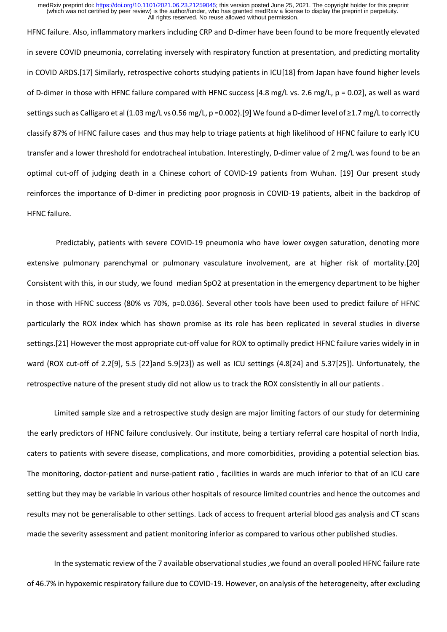HFNC failure. Also, inflammatory markers including CRP and D-dimer have been found to be more frequently elevated in severe COVID pneumonia, correlating inversely with respiratory function at presentation, and predicting mortality in COVID ARDS.[17] Similarly, retrospective cohorts studying patients in ICU[18] from Japan have found higher levels of D-dimer in those with HFNC failure compared with HFNC success [4.8 mg/L vs. 2.6 mg/L, p = 0.02], as well as ward settings such as Calligaro et al (1.03 mg/L vs 0.56 mg/L, p =0.002).[9] We found a D-dimer level of ≥1.7 mg/L to correctly classify 87% of HFNC failure cases and thus may help to triage patients at high likelihood of HFNC failure to early ICU transfer and a lower threshold for endotracheal intubation. Interestingly, D-dimer value of 2 mg/L was found to be an optimal cut-off of judging death in a Chinese cohort of COVID-19 patients from Wuhan. [19] Our present study reinforces the importance of D-dimer in predicting poor prognosis in COVID-19 patients, albeit in the backdrop of HFNC failure.

Predictably, patients with severe COVID-19 pneumonia who have lower oxygen saturation, denoting more extensive pulmonary parenchymal or pulmonary vasculature involvement, are at higher risk of mortality.[20] Consistent with this, in our study, we found median SpO2 at presentation in the emergency department to be higher in those with HFNC success (80% vs 70%, p=0.036). Several other tools have been used to predict failure of HFNC particularly the ROX index which has shown promise as its role has been replicated in several studies in diverse settings.[21] However the most appropriate cut-off value for ROX to optimally predict HFNC failure varies widely in in ward (ROX cut-off of 2.2[9], 5.5 [22]and 5.9[23]) as well as ICU settings (4.8[24] and 5.37[25]). Unfortunately, the retrospective nature of the present study did not allow us to track the ROX consistently in all our patients .

Limited sample size and a retrospective study design are major limiting factors of our study for determining the early predictors of HFNC failure conclusively. Our institute, being a tertiary referral care hospital of north India, caters to patients with severe disease, complications, and more comorbidities, providing a potential selection bias. The monitoring, doctor-patient and nurse-patient ratio , facilities in wards are much inferior to that of an ICU care setting but they may be variable in various other hospitals of resource limited countries and hence the outcomes and results may not be generalisable to other settings. Lack of access to frequent arterial blood gas analysis and CT scans made the severity assessment and patient monitoring inferior as compared to various other published studies.

In the systematic review of the 7 available observational studies ,we found an overall pooled HFNC failure rate of 46.7% in hypoxemic respiratory failure due to COVID-19. However, on analysis of the heterogeneity, after excluding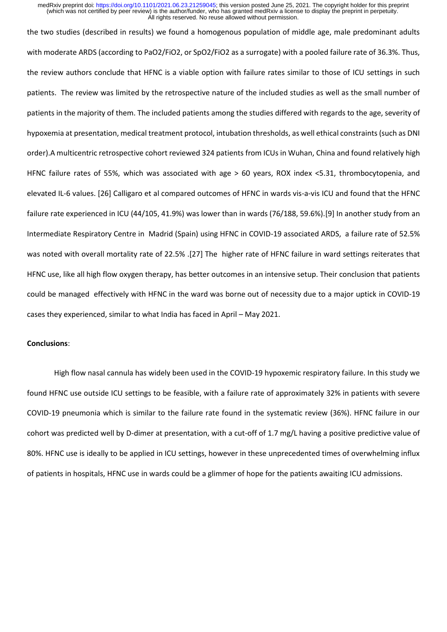the two studies (described in results) we found a homogenous population of middle age, male predominant adults with moderate ARDS (according to PaO2/FiO2, or SpO2/FiO2 as a surrogate) with a pooled failure rate of 36.3%. Thus, the review authors conclude that HFNC is a viable option with failure rates similar to those of ICU settings in such patients. The review was limited by the retrospective nature of the included studies as well as the small number of patients in the majority of them. The included patients among the studies differed with regards to the age, severity of hypoxemia at presentation, medical treatment protocol, intubation thresholds, as well ethical constraints (such as DNI order).A multicentric retrospective cohort reviewed 324 patients from ICUs in Wuhan, China and found relatively high HFNC failure rates of 55%, which was associated with age > 60 years, ROX index <5.31, thrombocytopenia, and elevated IL-6 values. [26] Calligaro et al compared outcomes of HFNC in wards vis-a-vis ICU and found that the HFNC failure rate experienced in ICU (44/105, 41.9%) was lower than in wards (76/188, 59.6%).[9] In another study from an Intermediate Respiratory Centre in Madrid (Spain) using HFNC in COVID-19 associated ARDS, a failure rate of 52.5% was noted with overall mortality rate of 22.5% .[27] The higher rate of HFNC failure in ward settings reiterates that HFNC use, like all high flow oxygen therapy, has better outcomes in an intensive setup. Their conclusion that patients could be managed effectively with HFNC in the ward was borne out of necessity due to a major uptick in COVID-19 cases they experienced, similar to what India has faced in April – May 2021.

### **Conclusions**:

High flow nasal cannula has widely been used in the COVID-19 hypoxemic respiratory failure. In this study we found HFNC use outside ICU settings to be feasible, with a failure rate of approximately 32% in patients with severe COVID-19 pneumonia which is similar to the failure rate found in the systematic review (36%). HFNC failure in our cohort was predicted well by D-dimer at presentation, with a cut-off of 1.7 mg/L having a positive predictive value of 80%. HFNC use is ideally to be applied in ICU settings, however in these unprecedented times of overwhelming influx of patients in hospitals, HFNC use in wards could be a glimmer of hope for the patients awaiting ICU admissions.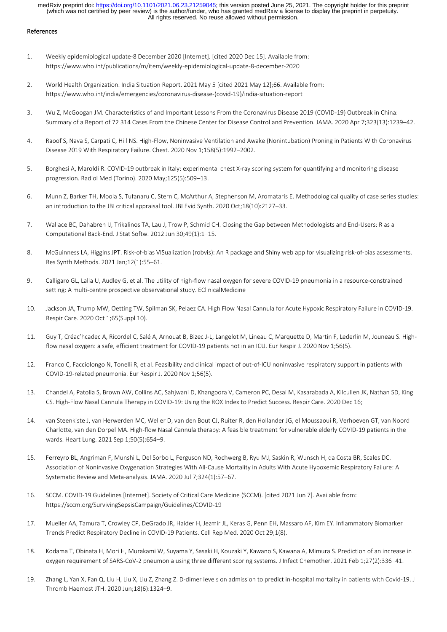#### References

- 1. Weekly epidemiological update-8 December 2020 [Internet]. [cited 2020 Dec 15]. Available from: https://www.who.int/publications/m/item/weekly-epidemiological-update-8-december-2020
- 2. World Health Organization. India Situation Report. 2021 May 5 [cited 2021 May 12];66. Available from: https://www.who.int/india/emergencies/coronavirus-disease-(covid-19)/india-situation-report
- 3. Wu Z, McGoogan JM. Characteristics of and Important Lessons From the Coronavirus Disease 2019 (COVID-19) Outbreak in China: Summary of a Report of 72 314 Cases From the Chinese Center for Disease Control and Prevention. JAMA. 2020 Apr 7;323(13):1239–42.
- 4. Raoof S, Nava S, Carpati C, Hill NS. High-Flow, Noninvasive Ventilation and Awake (Nonintubation) Proning in Patients With Coronavirus Disease 2019 With Respiratory Failure. Chest. 2020 Nov 1;158(5):1992–2002.
- 5. Borghesi A, Maroldi R. COVID-19 outbreak in Italy: experimental chest X-ray scoring system for quantifying and monitoring disease progression. Radiol Med (Torino). 2020 May;125(5):509–13.
- 6. Munn Z, Barker TH, Moola S, Tufanaru C, Stern C, McArthur A, Stephenson M, Aromataris E. Methodological quality of case series studies: an introduction to the JBI critical appraisal tool. JBI Evid Synth. 2020 Oct;18(10):2127–33.
- 7. Wallace BC, Dahabreh IJ, Trikalinos TA, Lau J, Trow P, Schmid CH. Closing the Gap between Methodologists and End-Users: R as a Computational Back-End. J Stat Softw. 2012 Jun 30;49(1):1–15.
- 8. McGuinness LA, Higgins JPT. Risk‐of‐bias VISualization (robvis): An R package and Shiny web app for visualizing risk‐of‐bias assessments. Res Synth Methods. 2021 Jan;12(1):55–61.
- 9. Calligaro GL, Lalla U, Audley G, et al. The utility of high-flow nasal oxygen for severe COVID-19 pneumonia in a resource-constrained setting: A multi-centre prospective observational study. EClinicalMedicine
- 10. Jackson JA, Trump MW, Oetting TW, Spilman SK, Pelaez CA. High Flow Nasal Cannula for Acute Hypoxic Respiratory Failure in COVID-19. Respir Care. 2020 Oct 1;65(Suppl 10).
- 11. Guy T, Créac'hcadec A, Ricordel C, Salé A, Arnouat B, Bizec J-L, Langelot M, Lineau C, Marquette D, Martin F, Lederlin M, Jouneau S. Highflow nasal oxygen: a safe, efficient treatment for COVID-19 patients not in an ICU. Eur Respir J. 2020 Nov 1;56(5).
- 12. Franco C, Facciolongo N, Tonelli R, et al. Feasibility and clinical impact of out-of-ICU noninvasive respiratory support in patients with COVID-19-related pneumonia. Eur Respir J. 2020 Nov 1;56(5).
- 13. Chandel A, Patolia S, Brown AW, Collins AC, Sahjwani D, Khangoora V, Cameron PC, Desai M, Kasarabada A, Kilcullen JK, Nathan SD, King CS. High-Flow Nasal Cannula Therapy in COVID-19: Using the ROX Index to Predict Success. Respir Care. 2020 Dec 16;
- 14. van Steenkiste J, van Herwerden MC, Weller D, van den Bout CJ, Ruiter R, den Hollander JG, el Moussaoui R, Verhoeven GT, van Noord Charlotte, van den Dorpel MA. High-flow Nasal Cannula therapy: A feasible treatment for vulnerable elderly COVID-19 patients in the wards. Heart Lung. 2021 Sep 1;50(5):654–9.
- 15. Ferreyro BL, Angriman F, Munshi L, Del Sorbo L, Ferguson ND, Rochwerg B, Ryu MJ, Saskin R, Wunsch H, da Costa BR, Scales DC. Association of Noninvasive Oxygenation Strategies With All-Cause Mortality in Adults With Acute Hypoxemic Respiratory Failure: A Systematic Review and Meta-analysis. JAMA. 2020 Jul 7;324(1):57–67.
- 16. SCCM. COVID-19 Guidelines [Internet]. Society of Critical Care Medicine (SCCM). [cited 2021 Jun 7]. Available from: https://sccm.org/SurvivingSepsisCampaign/Guidelines/COVID-19
- 17. Mueller AA, Tamura T, Crowley CP, DeGrado JR, Haider H, Jezmir JL, Keras G, Penn EH, Massaro AF, Kim EY. Inflammatory Biomarker Trends Predict Respiratory Decline in COVID-19 Patients. Cell Rep Med. 2020 Oct 29;1(8).
- 18. Kodama T, Obinata H, Mori H, Murakami W, Suyama Y, Sasaki H, Kouzaki Y, Kawano S, Kawana A, Mimura S. Prediction of an increase in oxygen requirement of SARS-CoV-2 pneumonia using three different scoring systems. J Infect Chemother. 2021 Feb 1;27(2):336–41.
- 19. Zhang L, Yan X, Fan Q, Liu H, Liu X, Liu Z, Zhang Z. D-dimer levels on admission to predict in-hospital mortality in patients with Covid-19. J Thromb Haemost JTH. 2020 Jun;18(6):1324–9.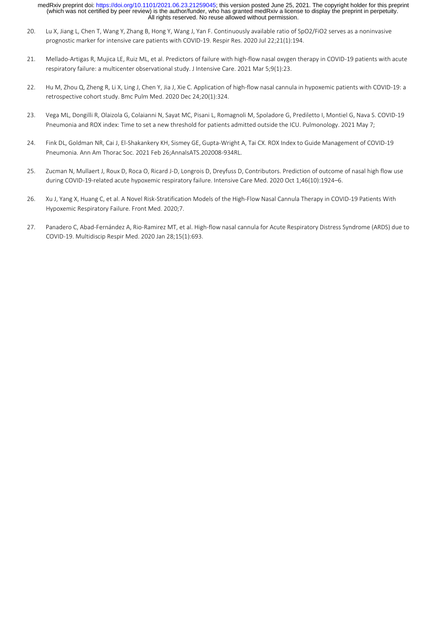- 20. Lu X, Jiang L, Chen T, Wang Y, Zhang B, Hong Y, Wang J, Yan F. Continuously available ratio of SpO2/FiO2 serves as a noninvasive prognostic marker for intensive care patients with COVID-19. Respir Res. 2020 Jul 22;21(1):194.
- 21. Mellado-Artigas R, Mujica LE, Ruiz ML, et al. Predictors of failure with high-flow nasal oxygen therapy in COVID-19 patients with acute respiratory failure: a multicenter observational study. J Intensive Care. 2021 Mar 5;9(1):23.
- 22. Hu M, Zhou Q, Zheng R, Li X, Ling J, Chen Y, Jia J, Xie C. Application of high-flow nasal cannula in hypoxemic patients with COVID-19: a retrospective cohort study. Bmc Pulm Med. 2020 Dec 24;20(1):324.
- 23. Vega ML, Dongilli R, Olaizola G, Colaianni N, Sayat MC, Pisani L, Romagnoli M, Spoladore G, Prediletto I, Montiel G, Nava S. COVID-19 Pneumonia and ROX index: Time to set a new threshold for patients admitted outside the ICU. Pulmonology. 2021 May 7;
- 24. Fink DL, Goldman NR, Cai J, El-Shakankery KH, Sismey GE, Gupta-Wright A, Tai CX. ROX Index to Guide Management of COVID-19 Pneumonia. Ann Am Thorac Soc. 2021 Feb 26;AnnalsATS.202008-934RL.
- 25. Zucman N, Mullaert J, Roux D, Roca O, Ricard J-D, Longrois D, Dreyfuss D, Contributors. Prediction of outcome of nasal high flow use during COVID-19-related acute hypoxemic respiratory failure. Intensive Care Med. 2020 Oct 1;46(10):1924–6.
- 26. Xu J, Yang X, Huang C, et al. A Novel Risk-Stratification Models of the High-Flow Nasal Cannula Therapy in COVID-19 Patients With Hypoxemic Respiratory Failure. Front Med. 2020;7.
- 27. Panadero C, Abad-Fernández A, Rio-Ramirez MT, et al. High-flow nasal cannula for Acute Respiratory Distress Syndrome (ARDS) due to COVID-19. Multidiscip Respir Med. 2020 Jan 28;15(1):693.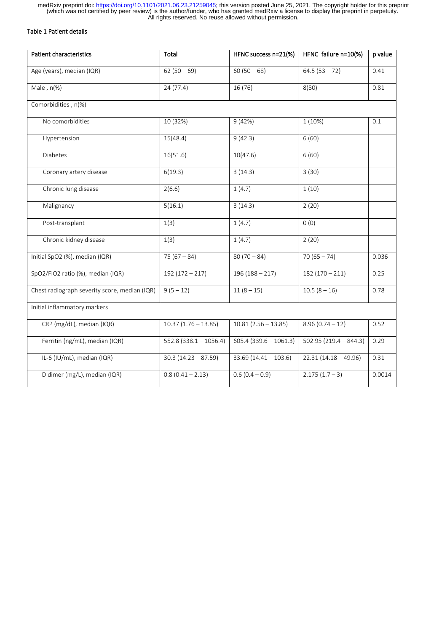# Table 1 Patient details

| Patient characteristics                       | Total                    | HFNC success n=21(%)     | HFNC failure n=10(%)    | p value |  |
|-----------------------------------------------|--------------------------|--------------------------|-------------------------|---------|--|
| Age (years), median (IQR)                     | $62(50-69)$              | $60(50-68)$              | $64.5(53 - 72)$         | 0.41    |  |
| Male, $n$ (%)                                 | 24(77.4)                 | 16 (76)                  | 8(80)                   | 0.81    |  |
| Comorbidities, n(%)                           |                          |                          |                         |         |  |
| No comorbidities                              | 10 (32%)                 | 9(42%)                   | 1(10%)                  | 0.1     |  |
| Hypertension                                  | 15(48.4)                 | 9(42.3)                  |                         |         |  |
| Diabetes                                      | 16(51.6)                 | 10(47.6)                 | 6(60)                   |         |  |
| Coronary artery disease                       | 6(19.3)                  | 3(14.3)                  | 3(30)                   |         |  |
| Chronic lung disease                          | 2(6.6)                   | 1(4.7)                   | 1(10)                   |         |  |
| Malignancy                                    | 5(16.1)                  | 3(14.3)                  | 2(20)                   |         |  |
| Post-transplant                               | 1(3)                     | 1(4.7)                   | 0(0)                    |         |  |
| Chronic kidney disease                        | 1(3)                     | 1(4.7)                   | 2(20)                   |         |  |
| Initial SpO2 (%), median (IQR)                | $75(67 - 84)$            | $80(70-84)$              | $70(65 - 74)$           | 0.036   |  |
| SpO2/FiO2 ratio (%), median (IQR)             | $192(172-217)$           | $196(188-217)$           | $182(170-211)$          | 0.25    |  |
| Chest radiograph severity score, median (IQR) | $9(5 - 12)$              | $11(8-15)$               | $10.5(8 - 16)$          | 0.78    |  |
| Initial inflammatory markers                  |                          |                          |                         |         |  |
| CRP (mg/dL), median (IQR)                     | $10.37(1.76 - 13.85)$    | $10.81(2.56 - 13.85)$    | $8.96(0.74-12)$         | 0.52    |  |
| Ferritin (ng/mL), median (IQR)                | $552.8$ (338.1 - 1056.4) | $605.4$ (339.6 - 1061.3) | $502.95(219.4 - 844.3)$ | 0.29    |  |
| IL-6 (IU/mL), median (IQR)                    | $30.3(14.23 - 87.59)$    | $33.69$ (14.41 - 103.6)  | $22.31(14.18 - 49.96)$  | 0.31    |  |
| D dimer (mg/L), median (IQR)                  | $0.8(0.41 - 2.13)$       | $0.6(0.4 - 0.9)$         | $2.175(1.7 - 3)$        | 0.0014  |  |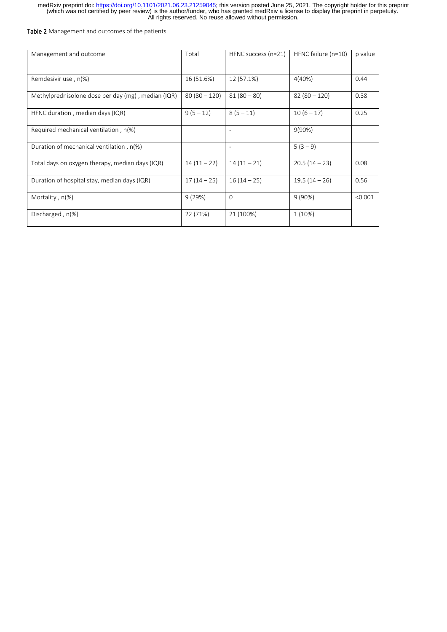### Table 2 Management and outcomes of the patients

| Management and outcome                             | Total        | HFNC success $(n=21)$ | HFNC failure (n=10) | p value |
|----------------------------------------------------|--------------|-----------------------|---------------------|---------|
| Remdesivir use, n(%)                               | 16 (51.6%)   | 12 (57.1%)            | 4(40%)              | 0.44    |
| Methylprednisolone dose per day (mg), median (IQR) | $80(80-120)$ | $81(80-80)$           | $82(80 - 120)$      | 0.38    |
| HFNC duration, median days (IQR)                   | $9(5-12)$    | $8(5 - 11)$           | $10(6 - 17)$        | 0.25    |
| Required mechanical ventilation, n(%)              |              |                       | $9(90\%)$           |         |
| Duration of mechanical ventilation, n(%)           |              | ٠                     | $5(3-9)$            |         |
| Total days on oxygen therapy, median days (IQR)    | $14(11-22)$  | $14(11-21)$           | $20.5(14-23)$       | 0.08    |
| Duration of hospital stay, median days (IQR)       | $17(14-25)$  | $16(14-25)$           | $19.5(14-26)$       | 0.56    |
| Mortality, $n(\%)$                                 | 9(29%)       | $\Omega$              | $9(90\%)$           | < 0.001 |
| Discharged, n(%)                                   | 22 (71%)     | 21 (100%)             | $1(10\%)$           |         |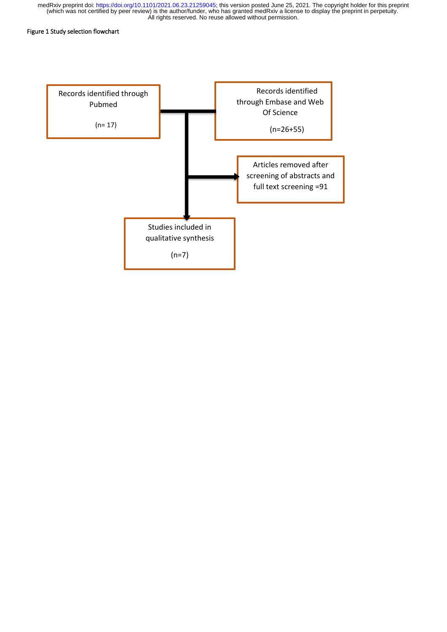### Figure 1 Study selection flowchart

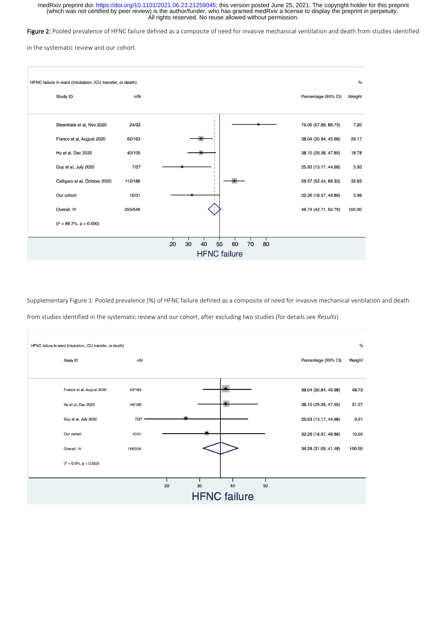Figure 2: Pooled prevalence of HFNC failure defined as a composite of need for invasive mechanical ventilation and death from studies identified

in the systematic review and our cohort.



Supplementary Figure 1: Pooled prevalence (%) of HFNC failure defined as a composite of need for invasive mechanical ventilation and death from studies identified in the systematic review and our cohort, after excluding two studies (for details see *Results*)

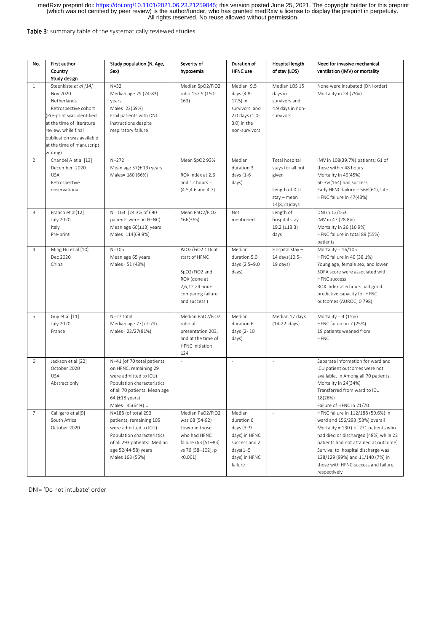Table 3: summary table of the systematically reviewed studies

| No.            | First author                                                                                                                                                                                                                    | Study population (N, Age,                                                                                                                                                             | Severity of                                                                                                                 | Duration of                                                                                                    | Hospital length                                                                                      | Need for invasive mechanical                                                                                                                                                                                                                                                                                                      |
|----------------|---------------------------------------------------------------------------------------------------------------------------------------------------------------------------------------------------------------------------------|---------------------------------------------------------------------------------------------------------------------------------------------------------------------------------------|-----------------------------------------------------------------------------------------------------------------------------|----------------------------------------------------------------------------------------------------------------|------------------------------------------------------------------------------------------------------|-----------------------------------------------------------------------------------------------------------------------------------------------------------------------------------------------------------------------------------------------------------------------------------------------------------------------------------|
|                | Country<br>Study design                                                                                                                                                                                                         | Sex)                                                                                                                                                                                  | hypoxemia                                                                                                                   | <b>HFNC</b> use                                                                                                | of stay (LOS)                                                                                        | ventilation (IMV) or mortality                                                                                                                                                                                                                                                                                                    |
| $\mathbf{1}$   | Steenkiste et al [14]<br>Nov 2020<br>Netherlands<br>Retrospective cohort<br>(Pre-print was identified<br>at the time of literature<br>review, while final<br>publication was available<br>at the time of manuscript<br>writing) | $N = 32$<br>Median age 79 (74-83)<br>years<br>Males=22(69%)<br>Frail patients with DNI<br>instructions despite<br>respiratory failure                                                 | Median SpO2/FiO2<br>ratio 157.5 (150-<br>163)                                                                               | Median 9.5<br>days (4.8-<br>17.5) in<br>survivors and<br>2.0 days (1.0-<br>3.0) in the<br>non-survivors        | Median LOS 15<br>days in<br>survivors and<br>4.9 days in non-<br>survivors                           | None were intubated (DNI order)<br>Mortality in 24 (75%)                                                                                                                                                                                                                                                                          |
| 2              | Chandel A et al [13]<br>December 2020<br><b>USA</b><br>Retrospective<br>observational                                                                                                                                           | $N = 272$<br>Mean age $57(\pm 13)$ years<br>Males= 180 (66%)                                                                                                                          | Mean SpO2 93%<br>ROX index at 2,6<br>and 12 hours $=$<br>$(4.5, 4.6$ and $4.7)$                                             | Median<br>duration 3<br>days (1-6<br>days)                                                                     | <b>Total hospital</b><br>stays for all not<br>given<br>Length of ICU<br>stay - mean<br>14(8,21) days | IMV in 108(39.7%) patients; 61 of<br>these within 48 hours<br>Mortality in 49(45%)<br>60.3%(164) had success<br>Early HFNC failure - 56%(61), late<br>HFNC failure in 47(43%)                                                                                                                                                     |
| 3              | Franco et al[12]<br><b>July 2020</b><br>Italy<br>Pre-print                                                                                                                                                                      | N= 163 (24.3% of 690<br>patients were on HFNC)<br>Mean age $60(\pm 13)$ years<br>Males=114(69.9%)                                                                                     | Mean PaO2/FiO2<br>$166(\pm 65)$                                                                                             | Not<br>mentioned                                                                                               | Length of<br>hospital stay<br>$19.2 \ (\pm 13.3)$<br>days                                            | DNI in 12/163<br>IMV in 47 (28.8%)<br>Mortality in 26 (16.9%)<br>HFNC failure in total 89 (55%)<br>patients                                                                                                                                                                                                                       |
| $\overline{4}$ | Ming Hu et al [10]<br>Dec 2020<br>China                                                                                                                                                                                         | $N = 105$<br>Mean age 65 years<br>Males= 51 (48%)                                                                                                                                     | PaO2/FiO2 116 at<br>start of HFNC<br>SpO2/FiO2 and<br>ROX (done at<br>2,6,12,24 hours<br>comparing failure<br>and success)  | Median<br>duration 5.0<br>days (2.5-9.0<br>days)                                                               | Hospital stay $-$<br>14 days(10.5-<br>$19$ days)                                                     | Mortality = $16/105$<br>HFNC failure in 40 (38.1%)<br>Young age, female sex, and lower<br>SOFA score were associated with<br><b>HFNC</b> success<br>ROX index at 6 hours had good<br>predictive capacity for HFNC<br>outcomes (AUROC, 0.798)                                                                                      |
| 5              | Guy et al [11]<br><b>July 2020</b><br>France                                                                                                                                                                                    | N=27 total<br>Median age 77(77-79)<br>Males= 22/27(81%)                                                                                                                               | Median PaO2/FiO2<br>ratio at<br>presentation 203,<br>and at the time of<br><b>HFNC</b> initiation<br>124                    | Median<br>duration 6<br>days (2-10<br>days)                                                                    | Median 17 days<br>$(14-22$ days)                                                                     | Mortality = $4(15%)$<br>HFNC failure in 7 (25%)<br>19 patients weaned from<br><b>HFNC</b>                                                                                                                                                                                                                                         |
| 6              | Jackson et al [22]<br>October 2020<br><b>USA</b><br>Abstract only                                                                                                                                                               | N=41 (of 70 total patients<br>on HFNC, remaining 29<br>were admitted to ICU)<br>Population characteristics<br>of all 70 patients: Mean age<br>64 $(\pm 18$ years)<br>Males= 45(64%) U | $\sim$                                                                                                                      | $\omega$                                                                                                       | $\omega$                                                                                             | Separate information for ward and<br>ICU patient outcomes were not<br>available. In Among all 70 patients:<br>Mortality in 24(34%)<br>Transferred from ward to ICU<br>18(26%)<br>Failure of HFNC in 21/70                                                                                                                         |
| 7              | Calligaro et al[9]<br>South Africa<br>October 2020                                                                                                                                                                              | N=188 (of total 293<br>patients, remaining 105<br>were admitted to ICU)<br>Population characteristics<br>of all 293 patients: Median<br>age 52(44-58) years<br>Males 163 (56%)        | Median PaO2/FiO2<br>was 68 (54-92)<br>Lower in those<br>who had HFNC<br>failure (63 [51–83]<br>vs 76 [58-102], p<br>(0.001) | Median<br>duration 6<br>days (3-9<br>days) in HFNC<br>success and 2<br>$days(1-5)$<br>days) in HFNC<br>failure | $\overline{\phantom{a}}$                                                                             | HFNC failure in 112/188 (59.6%) in<br>ward and 156/293 (53%) overall<br>Mortality = 130 ( of 271 patients who<br>had died or discharged [48%] while 22<br>patients had not attained at outcome]<br>Survival to hospital discharge was<br>128/129 (99%) and 11/140 (7%) in<br>those with HFNC success and failure,<br>respectively |

DNI= 'Do not intubate' order